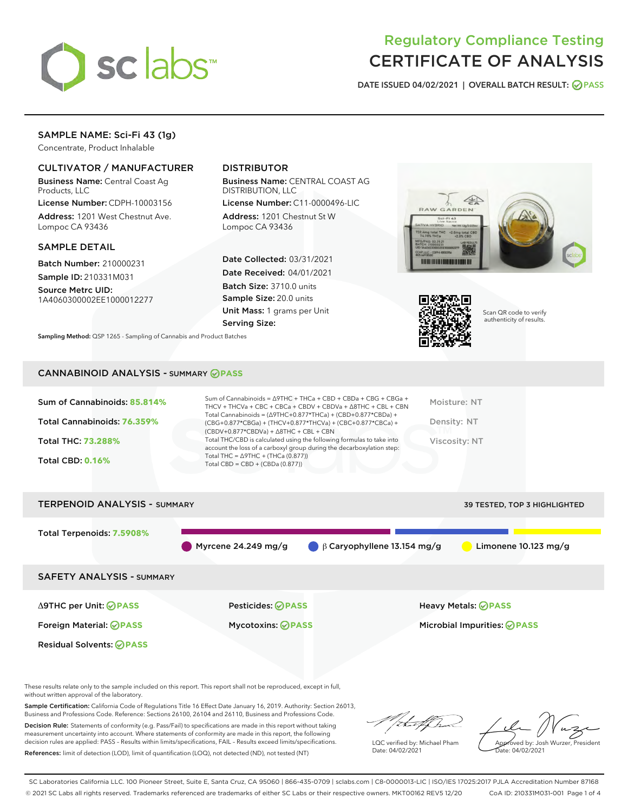

# Regulatory Compliance Testing CERTIFICATE OF ANALYSIS

DATE ISSUED 04/02/2021 | OVERALL BATCH RESULT: @ PASS

# SAMPLE NAME: Sci-Fi 43 (1g)

Concentrate, Product Inhalable

## CULTIVATOR / MANUFACTURER

Business Name: Central Coast Ag Products, LLC

License Number: CDPH-10003156 Address: 1201 West Chestnut Ave. Lompoc CA 93436

#### SAMPLE DETAIL

Batch Number: 210000231 Sample ID: 210331M031

Source Metrc UID: 1A4060300002EE1000012277

# DISTRIBUTOR

Business Name: CENTRAL COAST AG DISTRIBUTION, LLC

License Number: C11-0000496-LIC Address: 1201 Chestnut St W Lompoc CA 93436

Date Collected: 03/31/2021 Date Received: 04/01/2021 Batch Size: 3710.0 units Sample Size: 20.0 units Unit Mass: 1 grams per Unit Serving Size:





Scan QR code to verify authenticity of results.

Sampling Method: QSP 1265 - Sampling of Cannabis and Product Batches

### CANNABINOID ANALYSIS - SUMMARY **PASS**

| Sum of Cannabinoids: 85.814% | Sum of Cannabinoids = $\triangle$ 9THC + THCa + CBD + CBDa + CBG + CBGa +<br>THCV + THCVa + CBC + CBCa + CBDV + CBDVa + $\Delta$ 8THC + CBL + CBN                                    | Moisture: NT  |
|------------------------------|--------------------------------------------------------------------------------------------------------------------------------------------------------------------------------------|---------------|
| Total Cannabinoids: 76.359%  | Total Cannabinoids = $(\Delta$ 9THC+0.877*THCa) + (CBD+0.877*CBDa) +<br>(CBG+0.877*CBGa) + (THCV+0.877*THCVa) + (CBC+0.877*CBCa) +<br>$(CBDV+0.877*CBDVa) + \Delta 8THC + CBL + CBN$ | Density: NT   |
| <b>Total THC: 73.288%</b>    | Total THC/CBD is calculated using the following formulas to take into<br>account the loss of a carboxyl group during the decarboxylation step:                                       | Viscosity: NT |
| <b>Total CBD: 0.16%</b>      | Total THC = $\triangle$ 9THC + (THCa (0.877))<br>Total CBD = $CBD + (CBDa (0.877))$                                                                                                  |               |
|                              |                                                                                                                                                                                      |               |

# TERPENOID ANALYSIS - SUMMARY 39 TESTED, TOP 3 HIGHLIGHTED Total Terpenoids: **7.5908%** Myrcene 24.249 mg/g  $\qquad \qquad \beta$  Caryophyllene 13.154 mg/g  $\qquad \qquad$  Limonene 10.123 mg/g SAFETY ANALYSIS - SUMMARY Δ9THC per Unit: **PASS** Pesticides: **PASS** Heavy Metals: **PASS** Foreign Material: **PASS** Mycotoxins: **PASS** Microbial Impurities: **PASS** Residual Solvents: **PASS**

These results relate only to the sample included on this report. This report shall not be reproduced, except in full, without written approval of the laboratory.

Sample Certification: California Code of Regulations Title 16 Effect Date January 16, 2019. Authority: Section 26013, Business and Professions Code. Reference: Sections 26100, 26104 and 26110, Business and Professions Code.

Decision Rule: Statements of conformity (e.g. Pass/Fail) to specifications are made in this report without taking measurement uncertainty into account. Where statements of conformity are made in this report, the following decision rules are applied: PASS – Results within limits/specifications, FAIL – Results exceed limits/specifications. References: limit of detection (LOD), limit of quantification (LOQ), not detected (ND), not tested (NT)

that f Ir

LQC verified by: Michael Pham Date: 04/02/2021

Approved by: Josh Wurzer, President ate: 04/02/2021

SC Laboratories California LLC. 100 Pioneer Street, Suite E, Santa Cruz, CA 95060 | 866-435-0709 | sclabs.com | C8-0000013-LIC | ISO/IES 17025:2017 PJLA Accreditation Number 87168 © 2021 SC Labs all rights reserved. Trademarks referenced are trademarks of either SC Labs or their respective owners. MKT00162 REV5 12/20 CoA ID: 210331M031-001 Page 1 of 4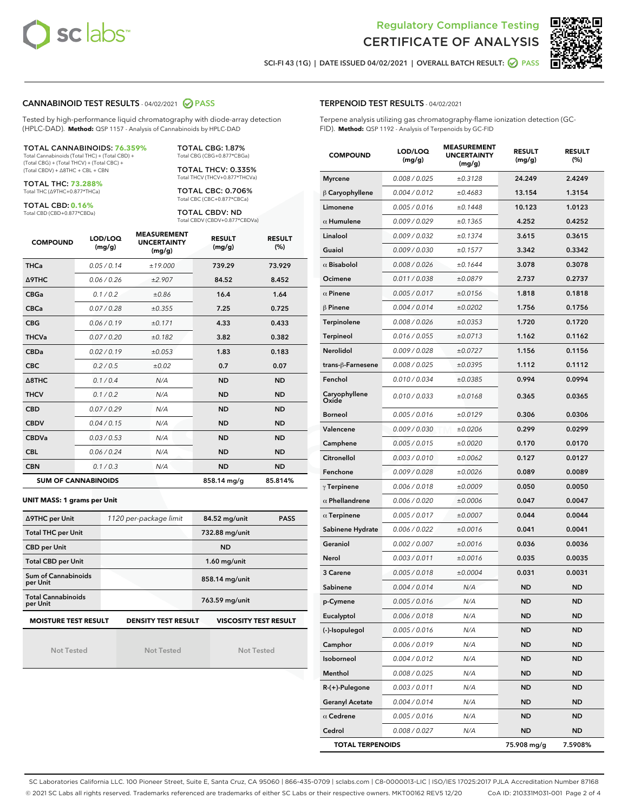



SCI-FI 43 (1G) | DATE ISSUED 04/02/2021 | OVERALL BATCH RESULT: 2 PASS

#### CANNABINOID TEST RESULTS - 04/02/2021 2 PASS

Tested by high-performance liquid chromatography with diode-array detection (HPLC-DAD). **Method:** QSP 1157 - Analysis of Cannabinoids by HPLC-DAD

#### TOTAL CANNABINOIDS: **76.359%**

Total Cannabinoids (Total THC) + (Total CBD) + (Total CBG) + (Total THCV) + (Total CBC) + (Total CBDV) + ∆8THC + CBL + CBN

TOTAL THC: **73.288%** Total THC (∆9THC+0.877\*THCa)

TOTAL CBD: **0.16%**

Total CBD (CBD+0.877\*CBDa)

TOTAL CBG: 1.87% Total CBG (CBG+0.877\*CBGa)

TOTAL THCV: 0.335% Total THCV (THCV+0.877\*THCVa)

TOTAL CBC: 0.706% Total CBC (CBC+0.877\*CBCa)

TOTAL CBDV: ND Total CBDV (CBDV+0.877\*CBDVa)

| <b>COMPOUND</b>  | LOD/LOQ<br>(mg/g)          | <b>MEASUREMENT</b><br><b>UNCERTAINTY</b><br>(mg/g) | <b>RESULT</b><br>(mg/g) | <b>RESULT</b><br>(%) |
|------------------|----------------------------|----------------------------------------------------|-------------------------|----------------------|
| <b>THCa</b>      | 0.05/0.14                  | ±19.000                                            | 739.29                  | 73.929               |
| <b>A9THC</b>     | 0.06 / 0.26                | ±2.907                                             | 84.52                   | 8.452                |
| <b>CBGa</b>      | 0.1/0.2                    | ±0.86                                              | 16.4                    | 1.64                 |
| <b>CBCa</b>      | 0.07 / 0.28                | ±0.355                                             | 7.25                    | 0.725                |
| <b>CBG</b>       | 0.06/0.19                  | ±0.171                                             | 4.33                    | 0.433                |
| <b>THCVa</b>     | 0.07/0.20                  | ±0.182                                             | 3.82                    | 0.382                |
| <b>CBDa</b>      | 0.02/0.19                  | ±0.053                                             | 1.83                    | 0.183                |
| <b>CBC</b>       | 0.2 / 0.5                  | ±0.02                                              | 0.7                     | 0.07                 |
| $\triangle$ 8THC | 0.1/0.4                    | N/A                                                | <b>ND</b>               | <b>ND</b>            |
| <b>THCV</b>      | 0.1/0.2                    | N/A                                                | <b>ND</b>               | <b>ND</b>            |
| <b>CBD</b>       | 0.07/0.29                  | N/A                                                | <b>ND</b>               | <b>ND</b>            |
| <b>CBDV</b>      | 0.04 / 0.15                | N/A                                                | <b>ND</b>               | <b>ND</b>            |
| <b>CBDVa</b>     | 0.03 / 0.53                | N/A                                                | <b>ND</b>               | <b>ND</b>            |
| <b>CBL</b>       | 0.06 / 0.24                | N/A                                                | <b>ND</b>               | <b>ND</b>            |
| <b>CBN</b>       | 0.1/0.3                    | N/A                                                | <b>ND</b>               | <b>ND</b>            |
|                  | <b>SUM OF CANNABINOIDS</b> |                                                    | 858.14 mg/g             | 85.814%              |

#### **UNIT MASS: 1 grams per Unit**

| ∆9THC per Unit                        | 1120 per-package limit     | 84.52 mg/unit<br><b>PASS</b> |
|---------------------------------------|----------------------------|------------------------------|
| <b>Total THC per Unit</b>             |                            | 732.88 mg/unit               |
| <b>CBD per Unit</b>                   |                            | <b>ND</b>                    |
| <b>Total CBD per Unit</b>             |                            | $1.60$ mg/unit               |
| Sum of Cannabinoids<br>per Unit       |                            | 858.14 mg/unit               |
| <b>Total Cannabinoids</b><br>per Unit |                            | 763.59 mg/unit               |
| <b>MOISTURE TEST RESULT</b>           | <b>DENSITY TEST RESULT</b> | <b>VISCOSITY TEST RESULT</b> |

Not Tested

Not Tested

Not Tested

#### TERPENOID TEST RESULTS - 04/02/2021

Terpene analysis utilizing gas chromatography-flame ionization detection (GC-FID). **Method:** QSP 1192 - Analysis of Terpenoids by GC-FID

| <b>COMPOUND</b>         | LOD/LOQ<br>(mg/g) | <b>MEASUREMENT</b><br><b>UNCERTAINTY</b><br>(mg/g) | <b>RESULT</b><br>(mg/g) | <b>RESULT</b><br>(%) |
|-------------------------|-------------------|----------------------------------------------------|-------------------------|----------------------|
| <b>Myrcene</b>          | 0.008 / 0.025     | ±0.3128                                            | 24.249                  | 2.4249               |
| $\beta$ Caryophyllene   | 0.004 / 0.012     | ±0.4683                                            | 13.154                  | 1.3154               |
| Limonene                | 0.005 / 0.016     | ±0.1448                                            | 10.123                  | 1.0123               |
| $\alpha$ Humulene       | 0.009 / 0.029     | ±0.1365                                            | 4.252                   | 0.4252               |
| Linalool                | 0.009 / 0.032     | ±0.1374                                            | 3.615                   | 0.3615               |
| Guaiol                  | 0.009 / 0.030     | ±0.1577                                            | 3.342                   | 0.3342               |
| $\alpha$ Bisabolol      | 0.008 / 0.026     | ±0.1644                                            | 3.078                   | 0.3078               |
| Ocimene                 | 0.011 / 0.038     | ±0.0879                                            | 2.737                   | 0.2737               |
| $\alpha$ Pinene         | 0.005 / 0.017     | ±0.0156                                            | 1.818                   | 0.1818               |
| $\beta$ Pinene          | 0.004 / 0.014     | ±0.0202                                            | 1.756                   | 0.1756               |
| Terpinolene             | 0.008 / 0.026     | ±0.0353                                            | 1.720                   | 0.1720               |
| <b>Terpineol</b>        | 0.016 / 0.055     | ±0.0713                                            | 1.162                   | 0.1162               |
| Nerolidol               | 0.009 / 0.028     | ±0.0727                                            | 1.156                   | 0.1156               |
| trans-ß-Farnesene       | 0.008 / 0.025     | ±0.0395                                            | 1.112                   | 0.1112               |
| Fenchol                 | 0.010 / 0.034     | ±0.0385                                            | 0.994                   | 0.0994               |
| Caryophyllene<br>Oxide  | 0.010 / 0.033     | ±0.0168                                            | 0.365                   | 0.0365               |
| <b>Borneol</b>          | 0.005 / 0.016     | ±0.0129                                            | 0.306                   | 0.0306               |
| Valencene               | 0.009 / 0.030     | ±0.0206                                            | 0.299                   | 0.0299               |
| Camphene                | 0.005 / 0.015     | ±0.0020                                            | 0.170                   | 0.0170               |
| Citronellol             | 0.003 / 0.010     | ±0.0062                                            | 0.127                   | 0.0127               |
| Fenchone                | 0.009 / 0.028     | ±0.0026                                            | 0.089                   | 0.0089               |
| $\gamma$ Terpinene      | 0.006 / 0.018     | ±0.0009                                            | 0.050                   | 0.0050               |
| $\alpha$ Phellandrene   | 0.006 / 0.020     | ±0.0006                                            | 0.047                   | 0.0047               |
| $\alpha$ Terpinene      | 0.005 / 0.017     | ±0.0007                                            | 0.044                   | 0.0044               |
| Sabinene Hydrate        | 0.006 / 0.022     | ±0.0016                                            | 0.041                   | 0.0041               |
| Geraniol                | 0.002 / 0.007     | ±0.0016                                            | 0.036                   | 0.0036               |
| Nerol                   | 0.003 / 0.011     | ±0.0016                                            | 0.035                   | 0.0035               |
| 3 Carene                | 0.005 / 0.018     | ±0.0004                                            | 0.031                   | 0.0031               |
| Sabinene                | 0.004 / 0.014     | N/A                                                | ND                      | <b>ND</b>            |
| p-Cymene                | 0.005 / 0.016     | N/A                                                | <b>ND</b>               | ND.                  |
| Eucalyptol              | 0.006 / 0.018     | N/A                                                | ND                      | ND                   |
| (-)-Isopulegol          | 0.005 / 0.016     | N/A                                                | <b>ND</b>               | <b>ND</b>            |
| Camphor                 | 0.006 / 0.019     | N/A                                                | ND                      | <b>ND</b>            |
| Isoborneol              | 0.004 / 0.012     | N/A                                                | ND                      | <b>ND</b>            |
| Menthol                 | 0.008 / 0.025     | N/A                                                | ND                      | ND                   |
| R-(+)-Pulegone          | 0.003 / 0.011     | N/A                                                | <b>ND</b>               | ND                   |
| <b>Geranyl Acetate</b>  | 0.004 / 0.014     | N/A                                                | ND                      | <b>ND</b>            |
| $\alpha$ Cedrene        | 0.005 / 0.016     | N/A                                                | ND                      | ND                   |
| Cedrol                  | 0.008 / 0.027     | N/A                                                | ND                      | ND                   |
| <b>TOTAL TERPENOIDS</b> |                   |                                                    | 75.908 mg/g             | 7.5908%              |

SC Laboratories California LLC. 100 Pioneer Street, Suite E, Santa Cruz, CA 95060 | 866-435-0709 | sclabs.com | C8-0000013-LIC | ISO/IES 17025:2017 PJLA Accreditation Number 87168 © 2021 SC Labs all rights reserved. Trademarks referenced are trademarks of either SC Labs or their respective owners. MKT00162 REV5 12/20 CoA ID: 210331M031-001 Page 2 of 4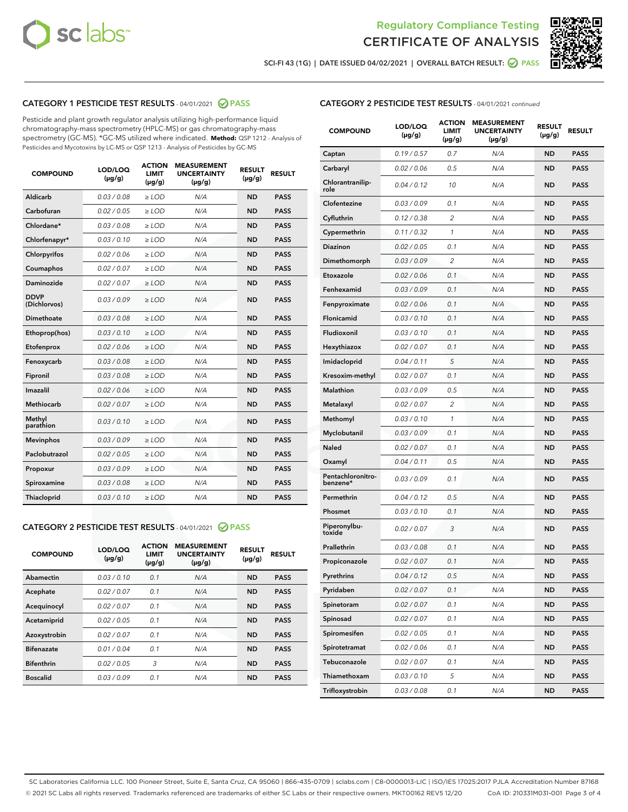



SCI-FI 43 (1G) | DATE ISSUED 04/02/2021 | OVERALL BATCH RESULT: 2 PASS

# CATEGORY 1 PESTICIDE TEST RESULTS - 04/01/2021 2 PASS

Pesticide and plant growth regulator analysis utilizing high-performance liquid chromatography-mass spectrometry (HPLC-MS) or gas chromatography-mass spectrometry (GC-MS). \*GC-MS utilized where indicated. **Method:** QSP 1212 - Analysis of Pesticides and Mycotoxins by LC-MS or QSP 1213 - Analysis of Pesticides by GC-MS

| <b>COMPOUND</b>             | LOD/LOQ<br>$(\mu g/g)$ | <b>ACTION</b><br><b>LIMIT</b><br>$(\mu g/g)$ | <b>MEASUREMENT</b><br><b>UNCERTAINTY</b><br>$(\mu g/g)$ | <b>RESULT</b><br>$(\mu g/g)$ | <b>RESULT</b> |
|-----------------------------|------------------------|----------------------------------------------|---------------------------------------------------------|------------------------------|---------------|
| Aldicarb                    | 0.03 / 0.08            | $\ge$ LOD                                    | N/A                                                     | <b>ND</b>                    | <b>PASS</b>   |
| Carbofuran                  | 0.02/0.05              | $>$ LOD                                      | N/A                                                     | <b>ND</b>                    | <b>PASS</b>   |
| Chlordane*                  | 0.03 / 0.08            | $\ge$ LOD                                    | N/A                                                     | <b>ND</b>                    | <b>PASS</b>   |
| Chlorfenapyr*               | 0.03/0.10              | $\ge$ LOD                                    | N/A                                                     | <b>ND</b>                    | <b>PASS</b>   |
| Chlorpyrifos                | 0.02 / 0.06            | $\ge$ LOD                                    | N/A                                                     | <b>ND</b>                    | <b>PASS</b>   |
| Coumaphos                   | 0.02 / 0.07            | $\ge$ LOD                                    | N/A                                                     | <b>ND</b>                    | <b>PASS</b>   |
| <b>Daminozide</b>           | 0.02 / 0.07            | $\ge$ LOD                                    | N/A                                                     | <b>ND</b>                    | <b>PASS</b>   |
| <b>DDVP</b><br>(Dichlorvos) | 0.03/0.09              | $\ge$ LOD                                    | N/A                                                     | <b>ND</b>                    | <b>PASS</b>   |
| <b>Dimethoate</b>           | 0.03 / 0.08            | $\ge$ LOD                                    | N/A                                                     | <b>ND</b>                    | <b>PASS</b>   |
| Ethoprop(hos)               | 0.03/0.10              | $\ge$ LOD                                    | N/A                                                     | <b>ND</b>                    | <b>PASS</b>   |
| Etofenprox                  | 0.02 / 0.06            | $\ge$ LOD                                    | N/A                                                     | <b>ND</b>                    | <b>PASS</b>   |
| Fenoxycarb                  | 0.03 / 0.08            | $\ge$ LOD                                    | N/A                                                     | <b>ND</b>                    | <b>PASS</b>   |
| Fipronil                    | 0.03/0.08              | $\ge$ LOD                                    | N/A                                                     | <b>ND</b>                    | <b>PASS</b>   |
| Imazalil                    | 0.02 / 0.06            | $\ge$ LOD                                    | N/A                                                     | <b>ND</b>                    | <b>PASS</b>   |
| Methiocarb                  | 0.02 / 0.07            | $\ge$ LOD                                    | N/A                                                     | <b>ND</b>                    | <b>PASS</b>   |
| Methyl<br>parathion         | 0.03/0.10              | $\ge$ LOD                                    | N/A                                                     | <b>ND</b>                    | <b>PASS</b>   |
| <b>Mevinphos</b>            | 0.03/0.09              | $>$ LOD                                      | N/A                                                     | <b>ND</b>                    | <b>PASS</b>   |
| Paclobutrazol               | 0.02 / 0.05            | $\ge$ LOD                                    | N/A                                                     | <b>ND</b>                    | <b>PASS</b>   |
| Propoxur                    | 0.03/0.09              | $>$ LOD                                      | N/A                                                     | <b>ND</b>                    | <b>PASS</b>   |
| Spiroxamine                 | 0.03 / 0.08            | $\ge$ LOD                                    | N/A                                                     | <b>ND</b>                    | <b>PASS</b>   |
| Thiacloprid                 | 0.03/0.10              | $\ge$ LOD                                    | N/A                                                     | <b>ND</b>                    | <b>PASS</b>   |

#### CATEGORY 2 PESTICIDE TEST RESULTS - 04/01/2021 @ PASS

| <b>COMPOUND</b>   | LOD/LOQ<br>$(\mu g/g)$ | <b>ACTION</b><br><b>LIMIT</b><br>$(\mu g/g)$ | <b>MEASUREMENT</b><br><b>UNCERTAINTY</b><br>$(\mu g/g)$ | <b>RESULT</b><br>$(\mu g/g)$ | <b>RESULT</b> |
|-------------------|------------------------|----------------------------------------------|---------------------------------------------------------|------------------------------|---------------|
| Abamectin         | 0.03/0.10              | 0.1                                          | N/A                                                     | <b>ND</b>                    | <b>PASS</b>   |
| Acephate          | 0.02/0.07              | 0.1                                          | N/A                                                     | <b>ND</b>                    | <b>PASS</b>   |
| Acequinocyl       | 0.02/0.07              | 0.1                                          | N/A                                                     | <b>ND</b>                    | <b>PASS</b>   |
| Acetamiprid       | 0.02/0.05              | 0.1                                          | N/A                                                     | <b>ND</b>                    | <b>PASS</b>   |
| Azoxystrobin      | 0.02/0.07              | 0.1                                          | N/A                                                     | <b>ND</b>                    | <b>PASS</b>   |
| <b>Bifenazate</b> | 0.01/0.04              | 0.1                                          | N/A                                                     | <b>ND</b>                    | <b>PASS</b>   |
| <b>Bifenthrin</b> | 0.02/0.05              | 3                                            | N/A                                                     | <b>ND</b>                    | <b>PASS</b>   |
| <b>Boscalid</b>   | 0.03/0.09              | 0.1                                          | N/A                                                     | <b>ND</b>                    | <b>PASS</b>   |

| <b>CATEGORY 2 PESTICIDE TEST RESULTS</b> - 04/01/2021 continued |
|-----------------------------------------------------------------|
|-----------------------------------------------------------------|

| <b>COMPOUND</b>               | LOD/LOQ<br>$(\mu g/g)$ | <b>ACTION</b><br>LIMIT<br>$(\mu g/g)$ | <b>MEASUREMENT</b><br><b>UNCERTAINTY</b><br>(µg/g) | <b>RESULT</b><br>(µg/g) | <b>RESULT</b> |
|-------------------------------|------------------------|---------------------------------------|----------------------------------------------------|-------------------------|---------------|
| Captan                        | 0.19/0.57              | 0.7                                   | N/A                                                | <b>ND</b>               | <b>PASS</b>   |
| Carbaryl                      | 0.02 / 0.06            | 0.5                                   | N/A                                                | ND                      | <b>PASS</b>   |
| Chlorantranilip-<br>role      | 0.04/0.12              | 10                                    | N/A                                                | ND                      | <b>PASS</b>   |
| Clofentezine                  | 0.03 / 0.09            | 0.1                                   | N/A                                                | ND                      | <b>PASS</b>   |
| Cyfluthrin                    | 0.12 / 0.38            | 2                                     | N/A                                                | ND                      | <b>PASS</b>   |
| Cypermethrin                  | 0.11 / 0.32            | 1                                     | N/A                                                | ND                      | <b>PASS</b>   |
| <b>Diazinon</b>               | 0.02 / 0.05            | 0.1                                   | N/A                                                | ND                      | <b>PASS</b>   |
| Dimethomorph                  | 0.03 / 0.09            | 2                                     | N/A                                                | ND                      | <b>PASS</b>   |
| Etoxazole                     | 0.02 / 0.06            | 0.1                                   | N/A                                                | ND                      | <b>PASS</b>   |
| Fenhexamid                    | 0.03 / 0.09            | 0.1                                   | N/A                                                | ND                      | <b>PASS</b>   |
| Fenpyroximate                 | 0.02 / 0.06            | 0.1                                   | N/A                                                | ND                      | <b>PASS</b>   |
| Flonicamid                    | 0.03 / 0.10            | 0.1                                   | N/A                                                | ND                      | <b>PASS</b>   |
| Fludioxonil                   | 0.03/0.10              | 0.1                                   | N/A                                                | ND                      | <b>PASS</b>   |
| Hexythiazox                   | 0.02 / 0.07            | 0.1                                   | N/A                                                | ND                      | <b>PASS</b>   |
| Imidacloprid                  | 0.04/0.11              | 5                                     | N/A                                                | ND                      | <b>PASS</b>   |
| Kresoxim-methyl               | 0.02 / 0.07            | 0.1                                   | N/A                                                | ND                      | <b>PASS</b>   |
| <b>Malathion</b>              | 0.03 / 0.09            | 0.5                                   | N/A                                                | ND                      | <b>PASS</b>   |
| Metalaxyl                     | 0.02 / 0.07            | 2                                     | N/A                                                | ND                      | <b>PASS</b>   |
| Methomyl                      | 0.03 / 0.10            | 1                                     | N/A                                                | ND                      | <b>PASS</b>   |
| Myclobutanil                  | 0.03 / 0.09            | 0.1                                   | N/A                                                | ND                      | <b>PASS</b>   |
| <b>Naled</b>                  | 0.02 / 0.07            | 0.1                                   | N/A                                                | ND                      | <b>PASS</b>   |
| Oxamyl                        | 0.04 / 0.11            | 0.5                                   | N/A                                                | ND                      | <b>PASS</b>   |
| Pentachloronitro-<br>benzene* | 0.03 / 0.09            | 0.1                                   | N/A                                                | ND                      | <b>PASS</b>   |
| Permethrin                    | 0.04 / 0.12            | 0.5                                   | N/A                                                | ND                      | <b>PASS</b>   |
| Phosmet                       | 0.03 / 0.10            | 0.1                                   | N/A                                                | ND                      | <b>PASS</b>   |
| Piperonylbu-<br>toxide        | 0.02 / 0.07            | 3                                     | N/A                                                | ND                      | <b>PASS</b>   |
| Prallethrin                   | 0.03 / 0.08            | 0.1                                   | N/A                                                | ND                      | <b>PASS</b>   |
| Propiconazole                 | 0.02 / 0.07            | 0.1                                   | N/A                                                | ND                      | <b>PASS</b>   |
| Pyrethrins                    | 0.04 / 0.12            | 0.5                                   | N/A                                                | ND                      | PASS          |
| Pyridaben                     | 0.02 / 0.07            | 0.1                                   | N/A                                                | ND                      | <b>PASS</b>   |
| Spinetoram                    | 0.02 / 0.07            | 0.1                                   | N/A                                                | <b>ND</b>               | <b>PASS</b>   |
| Spinosad                      | 0.02 / 0.07            | 0.1                                   | N/A                                                | ND                      | <b>PASS</b>   |
| Spiromesifen                  | 0.02 / 0.05            | 0.1                                   | N/A                                                | ND                      | <b>PASS</b>   |
| Spirotetramat                 | 0.02 / 0.06            | 0.1                                   | N/A                                                | ND                      | <b>PASS</b>   |
| Tebuconazole                  | 0.02 / 0.07            | 0.1                                   | N/A                                                | ND                      | <b>PASS</b>   |
| Thiamethoxam                  | 0.03 / 0.10            | 5                                     | N/A                                                | ND                      | <b>PASS</b>   |
| Trifloxystrobin               | 0.03 / 0.08            | 0.1                                   | N/A                                                | ND                      | <b>PASS</b>   |

SC Laboratories California LLC. 100 Pioneer Street, Suite E, Santa Cruz, CA 95060 | 866-435-0709 | sclabs.com | C8-0000013-LIC | ISO/IES 17025:2017 PJLA Accreditation Number 87168 © 2021 SC Labs all rights reserved. Trademarks referenced are trademarks of either SC Labs or their respective owners. MKT00162 REV5 12/20 CoA ID: 210331M031-001 Page 3 of 4